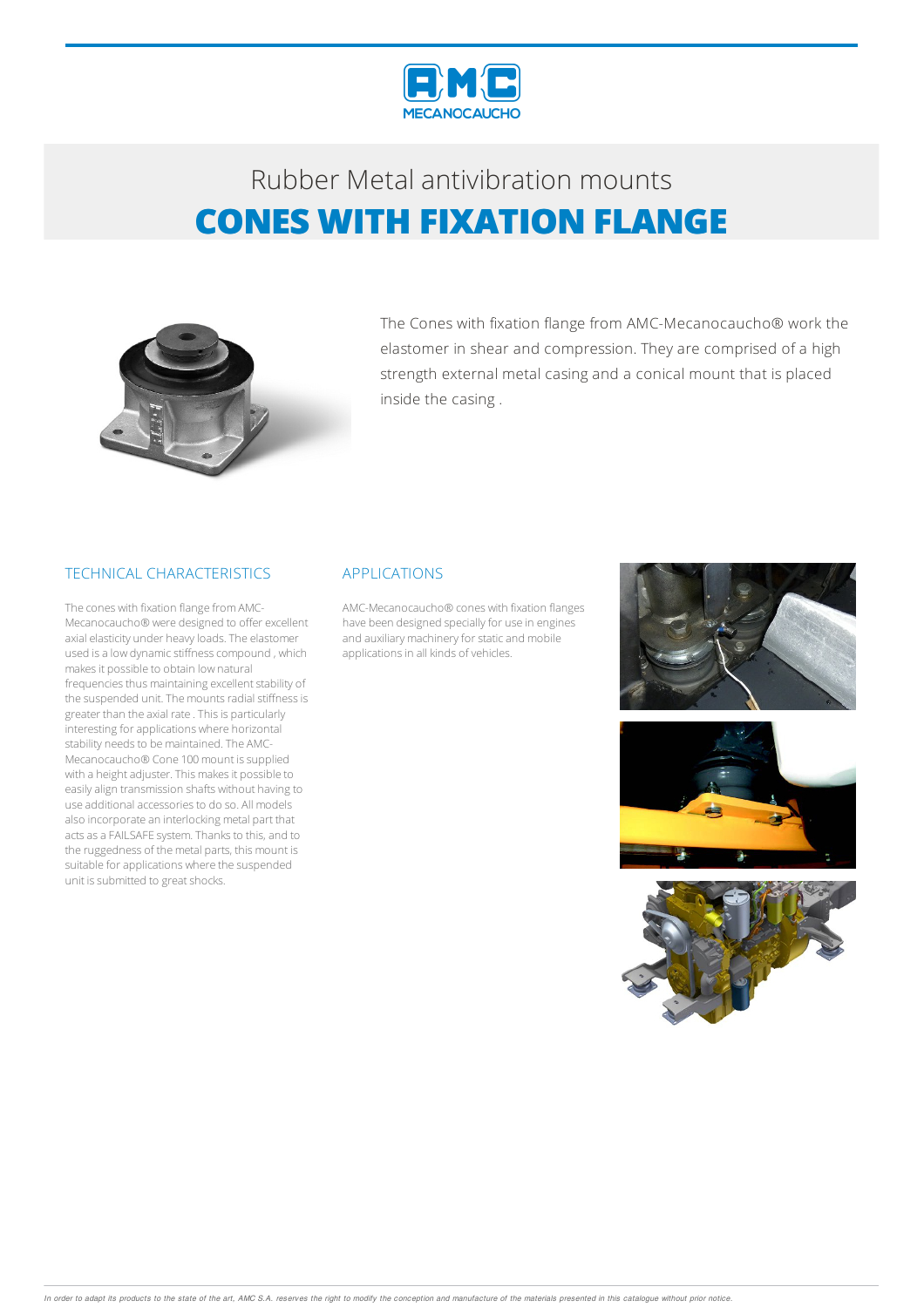



The Cones with fixation flange from AMC-Mecanocaucho® work the elastomer in shear and compression. They are comprised of a high strength external metal casing and a conical mount that is placed inside the casing .

### TECHNICAL CHARACTERISTICS

The cones with fixation flange fromAMC-Mecanocaucho® were designed to offer excellent axial elasticity under heavyloads.The elastomer used is a low dynamic stiffness compound , which makes it possible to obtain low natural frequencies thus maintaining excellent stability of the suspended unit. The mounts radial stiffness is greater than the axial rate . This is particularly interesting for applications where horizontal stability needs to be maintained. The AMC-Mecanocaucho<sup>®</sup> Cone 100 mount is supplied with a height adjuster. This makes it possible to easily align transmission shafts without having to use additional accessories to do so. All models also incorporate an interlocking metal part that acts as a FAILSAFE system. Thanks to this, and to the ruggedness of the metal parts, this mount is suitable for applications where the suspended unit is submitted to great shocks.

#### APPLICATIONS

AMC-Mecanocaucho® cones with fixation flanges have been designed specially for use in engines and auxiliary machinery for static and mobile applications in all kinds of vehicles.





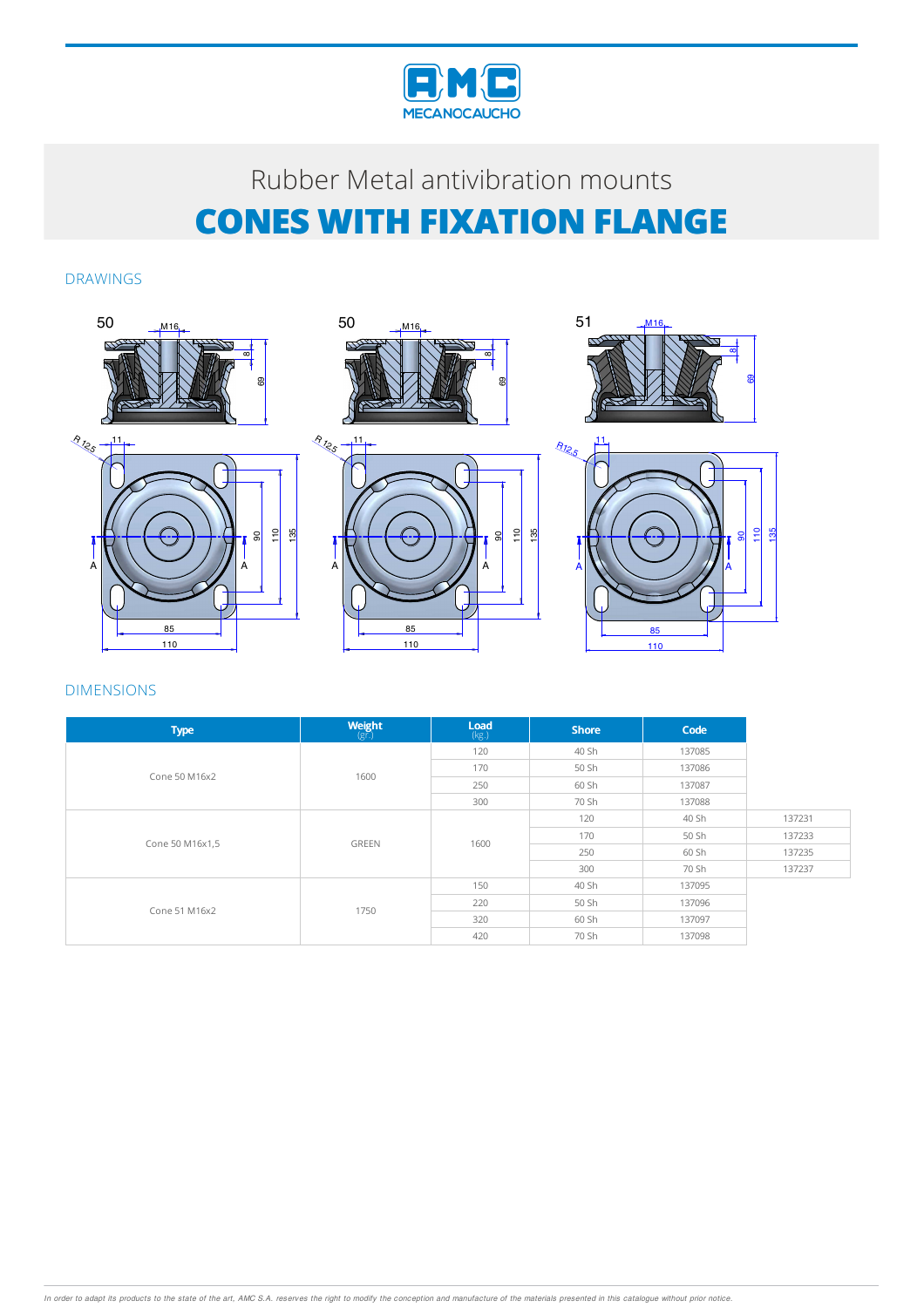

DRAWINGS



| <b>Type</b>     | <b>Weight</b><br>$(g\bar{r})$ | Load<br>(kg.) | <b>Shore</b>                                                 | Code   |        |
|-----------------|-------------------------------|---------------|--------------------------------------------------------------|--------|--------|
| Cone 50 M16x2   | 1600                          | 120           | 40 Sh                                                        | 137085 |        |
|                 |                               | 170           | 50 Sh                                                        | 137086 |        |
|                 |                               | 250           | 60 Sh                                                        | 137087 |        |
|                 |                               | 300           | 70 Sh<br>120<br>170<br>250<br>300<br>40 Sh<br>50 Sh<br>60 Sh | 137088 |        |
|                 | <b>GREEN</b>                  |               |                                                              | 40 Sh  | 137231 |
|                 |                               |               |                                                              | 50 Sh  | 137233 |
| Cone 50 M16x1,5 |                               | 1600          |                                                              | 60 Sh  | 137235 |
|                 |                               |               |                                                              | 70 Sh  | 137237 |
| Cone 51 M16x2   | 1750                          | 150           |                                                              | 137095 |        |
|                 |                               | 220           |                                                              | 137096 |        |
|                 |                               | 320           |                                                              | 137097 |        |
|                 |                               | 420           | 70 Sh                                                        | 137098 |        |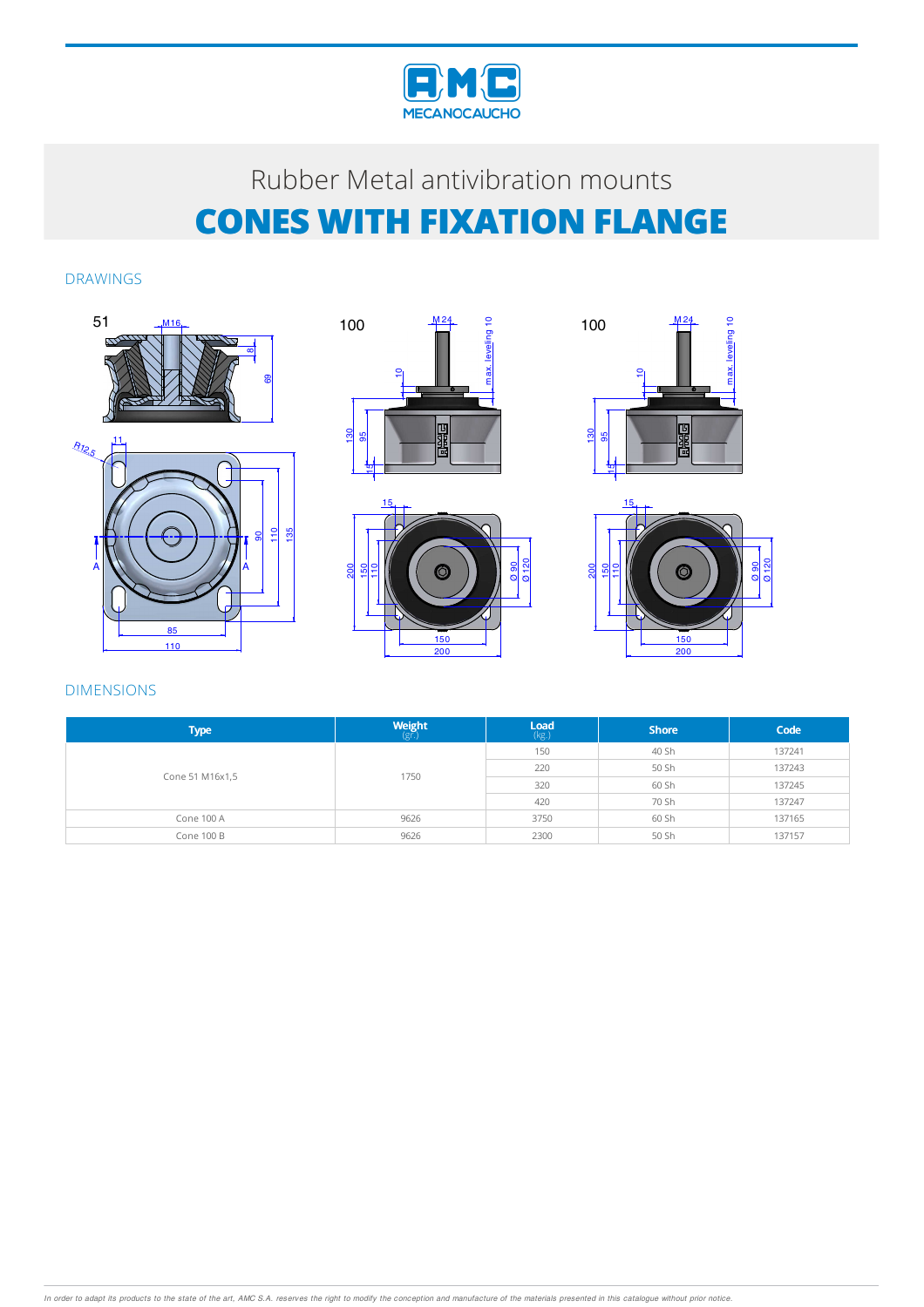

### DRAWINGS









| <b>Type</b>     | Weight<br>$(g\bar{r})$           | Load<br>(kg.) | <b>Shore</b> | Code   |
|-----------------|----------------------------------|---------------|--------------|--------|
|                 | 150<br>220<br>1750<br>320<br>420 |               | 40 Sh        | 137241 |
|                 |                                  |               | 50 Sh        | 137243 |
| Cone 51 M16x1,5 |                                  |               | 60 Sh        | 137245 |
|                 |                                  |               | 70 Sh        | 137247 |
| Cone 100 A      | 9626                             | 3750          | 60 Sh        | 137165 |
| Cone 100 B      | 9626                             | 2300          | 50 Sh        | 137157 |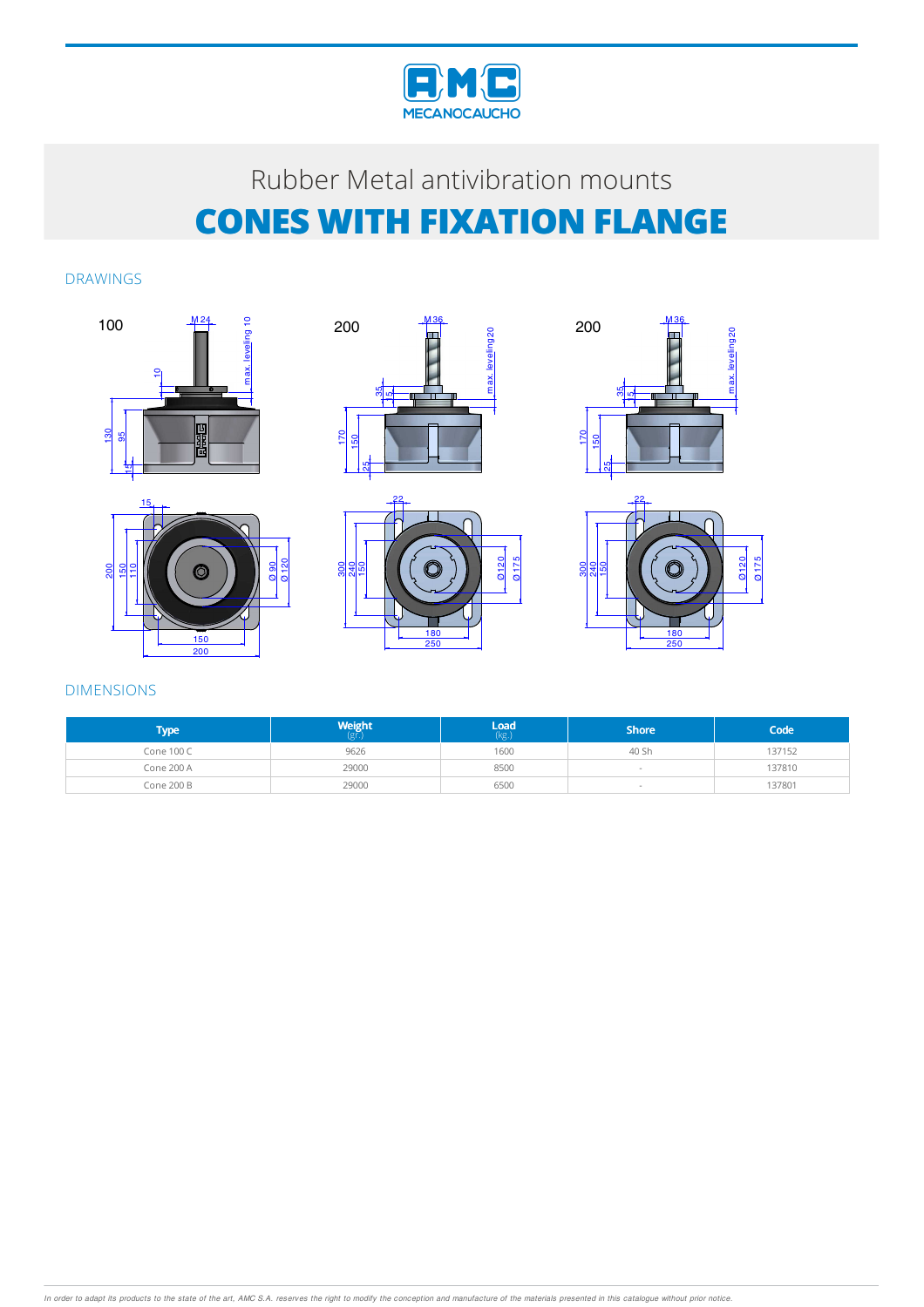

DRAWINGS











| <b>Type</b> | Weight | $\mathsf{Load}$ (kg.) | <b>Shore</b> | Code   |
|-------------|--------|-----------------------|--------------|--------|
| Cone 100 C  | 9626   | 1600                  | 40 Sh        | 137152 |
| Cone 200 A  | 29000  | 8500                  |              | 137810 |
| Cone 200 B  | 29000  | 6500                  |              | 137801 |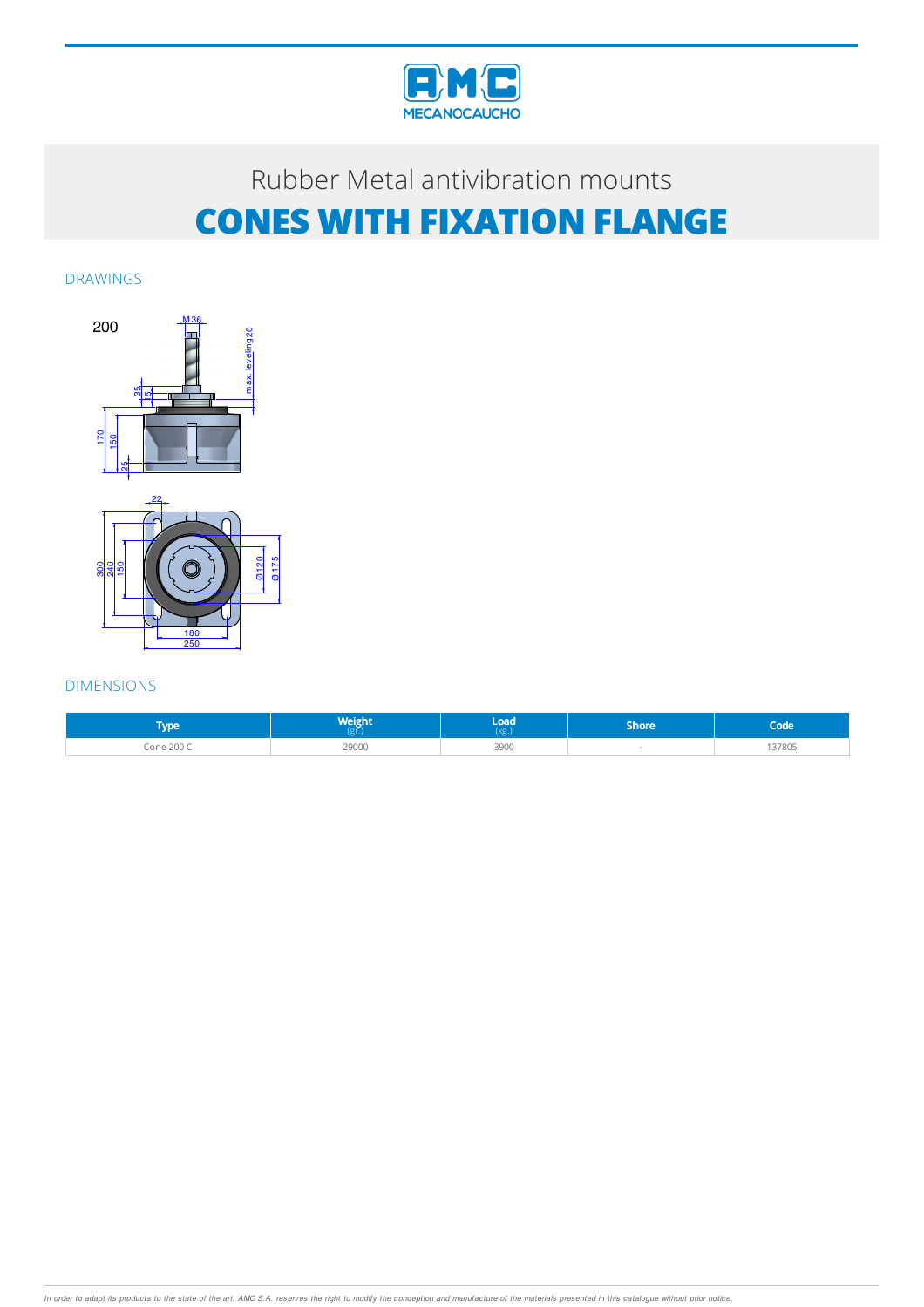

DRAWINGS



| <b>Type</b>     | <b>Weight</b> | load<br>KE. | Shore | Code   |
|-----------------|---------------|-------------|-------|--------|
| <b>Cone 200</b> | 29000         | 3900        |       | 137805 |